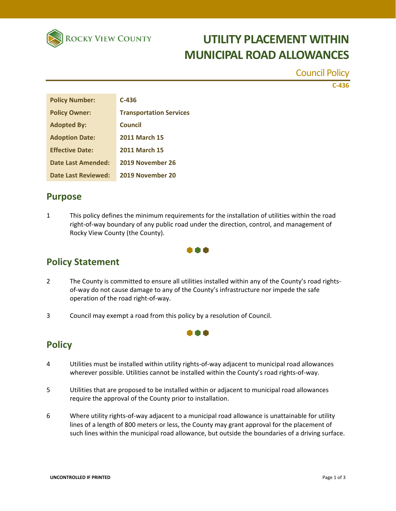

# **UTILITY PLACEMENT WITHIN MUNICIPAL ROAD ALLOWANCES**

Council Policy

**C‐436**

| <b>Policy Number:</b>  | $C-436$                        |
|------------------------|--------------------------------|
| <b>Policy Owner:</b>   | <b>Transportation Services</b> |
| <b>Adopted By:</b>     | Council                        |
| <b>Adoption Date:</b>  | <b>2011 March 15</b>           |
| <b>Effective Date:</b> | <b>2011 March 15</b>           |
| Date Last Amended:     | 2019 November 26               |
| Date Last Reviewed:    | 2019 November 20               |

#### **Purpose**

1 This policy defines the minimum requirements for the installation of utilities within the road right-of-way boundary of any public road under the direction, control, and management of Rocky View County (the County).



### **Policy Statement**

2 The County is committed to ensure all utilities installed within any of the County's road rightsof-way do not cause damage to any of the County's infrastructure nor impede the safe operation of the road right‐of‐way.

n a a

3 Council may exempt a road from this policy by a resolution of Council.

### **Policy**

- 4 Utilities must be installed within utility rights‐of‐way adjacent to municipal road allowances wherever possible. Utilities cannot be installed within the County's road rights-of-way.
- 5 Utilities that are proposed to be installed within or adjacent to municipal road allowances require the approval of the County prior to installation.
- 6 Where utility rights-of-way adjacent to a municipal road allowance is unattainable for utility lines of a length of 800 meters or less, the County may grant approval for the placement of such lines within the municipal road allowance, but outside the boundaries of a driving surface.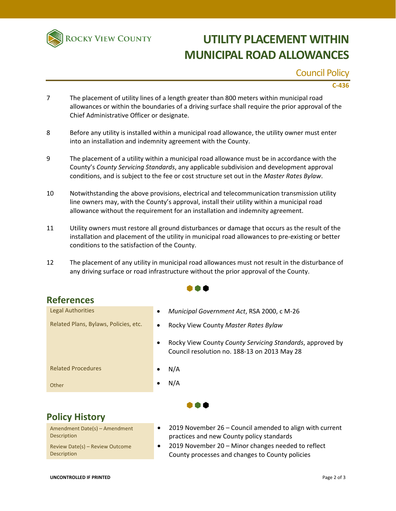

# **UTILITY PLACEMENT WITHIN MUNICIPAL ROAD ALLOWANCES**

#### Council Policy

**C‐436**

- 7 The placement of utility lines of a length greater than 800 meters within municipal road allowances or within the boundaries of a driving surface shall require the prior approval of the Chief Administrative Officer or designate.
- 8 Before any utility is installed within a municipal road allowance, the utility owner must enter into an installation and indemnity agreement with the County.
- 9 The placement of a utility within a municipal road allowance must be in accordance with the County's *County Servicing Standards*, any applicable subdivision and development approval conditions, and is subject to the fee or cost structure set out in the *Master Rates Bylaw*.
- 10 Notwithstanding the above provisions, electrical and telecommunication transmission utility line owners may, with the County's approval, install their utility within a municipal road allowance without the requirement for an installation and indemnity agreement.
- 11 Utility owners must restore all ground disturbances or damage that occurs as the result of the installation and placement of the utility in municipal road allowances to pre‐existing or better conditions to the satisfaction of the County.
- 12 The placement of any utility in municipal road allowances must not result in the disturbance of any driving surface or road infrastructure without the prior approval of the County.

 $\bullet \bullet \bullet$ 

### **References**

| <b>Legal Authorities</b>              | Municipal Government Act, RSA 2000, c M-26<br>٠                                                                        |
|---------------------------------------|------------------------------------------------------------------------------------------------------------------------|
| Related Plans, Bylaws, Policies, etc. | Rocky View County Master Rates Bylaw<br>$\bullet$                                                                      |
|                                       | Rocky View County County Servicing Standards, approved by<br>$\bullet$<br>Council resolution no. 188-13 on 2013 May 28 |
| <b>Related Procedures</b>             | N/A                                                                                                                    |
| Other                                 | N/A                                                                                                                    |
| <b>Policy History</b>                 |                                                                                                                        |

## **Policy History**

Amendment Date(s) – Amendment Description Review Date(s) – Review Outcome Description

- 2019 November 26 Council amended to align with current practices and new County policy standards
- 2019 November 20 Minor changes needed to reflect County processes and changes to County policies